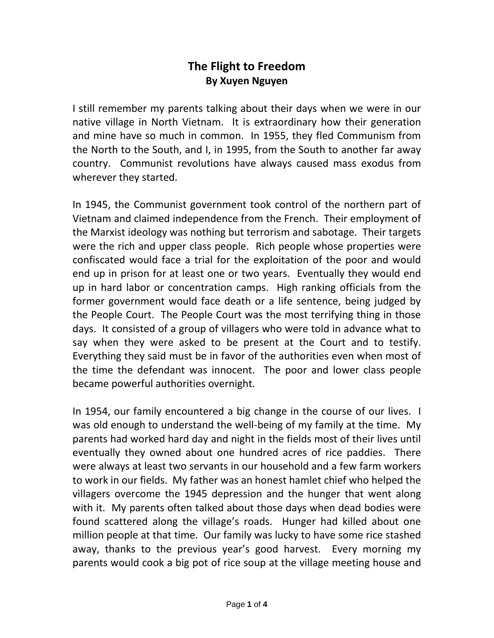## **The Flight to Freedom By Xuyen Nguyen**

I still remember my parents talking about their days when we were in our native village in North Vietnam. It is extraordinary how their generation and mine have so much in common. In 1955, they fled Communism from the North to the South, and I, in 1995, from the South to another far away country. Communist revolutions have always caused mass exodus from wherever they started.

In 1945, the Communist government took control of the northern part of Vietnam and claimed independence from the French. Their employment of the Marxist ideology was nothing but terrorism and sabotage. Their targets were the rich and upper class people. Rich people whose properties were confiscated would face a trial for the exploitation of the poor and would end up in prison for at least one or two years. Eventually they would end up in hard labor or concentration camps. High ranking officials from the former government would face death or a life sentence, being judged by the People Court. The People Court was the most terrifying thing in those days. It consisted of a group of villagers who were told in advance what to say when they were asked to be present at the Court and to testify. Everything they said must be in favor of the authorities even when most of the time the defendant was innocent. The poor and lower class people became powerful authorities overnight.

In 1954, our family encountered a big change in the course of our lives. I was old enough to understand the well-being of my family at the time. My parents had worked hard day and night in the fields most of their lives until eventually they owned about one hundred acres of rice paddies. There were always at least two servants in our household and a few farm workers to work in our fields. My father was an honest hamlet chief who helped the villagers overcome the 1945 depression and the hunger that went along with it. My parents often talked about those days when dead bodies were found scattered along the village's roads. Hunger had killed about one million people at that time. Our family was lucky to have some rice stashed away, thanks to the previous year's good harvest. Every morning my parents would cook a big pot of rice soup at the village meeting house and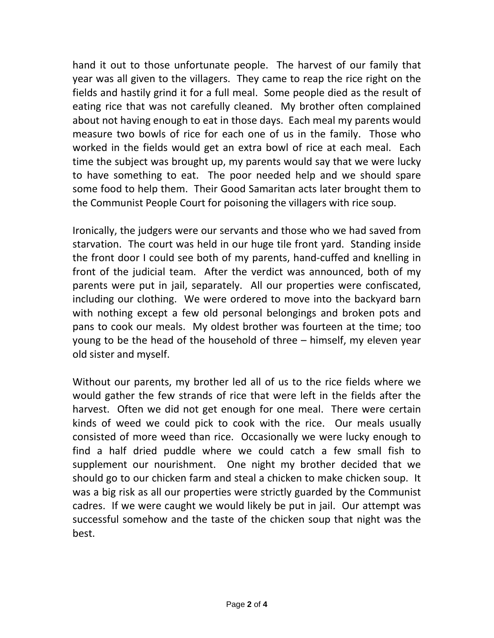hand it out to those unfortunate people. The harvest of our family that year was all given to the villagers. They came to reap the rice right on the fields and hastily grind it for a full meal. Some people died as the result of eating rice that was not carefully cleaned. My brother often complained about not having enough to eat in those days. Each meal my parents would measure two bowls of rice for each one of us in the family. Those who worked in the fields would get an extra bowl of rice at each meal. Each time the subject was brought up, my parents would say that we were lucky to have something to eat. The poor needed help and we should spare some food to help them. Their Good Samaritan acts later brought them to the Communist People Court for poisoning the villagers with rice soup.

Ironically, the judgers were our servants and those who we had saved from starvation. The court was held in our huge tile front yard. Standing inside the front door I could see both of my parents, hand-cuffed and knelling in front of the judicial team. After the verdict was announced, both of my parents were put in jail, separately. All our properties were confiscated, including our clothing. We were ordered to move into the backyard barn with nothing except a few old personal belongings and broken pots and pans to cook our meals. My oldest brother was fourteen at the time; too young to be the head of the household of three – himself, my eleven year old sister and myself.

Without our parents, my brother led all of us to the rice fields where we would gather the few strands of rice that were left in the fields after the harvest. Often we did not get enough for one meal. There were certain kinds of weed we could pick to cook with the rice. Our meals usually consisted of more weed than rice. Occasionally we were lucky enough to find a half dried puddle where we could catch a few small fish to supplement our nourishment. One night my brother decided that we should go to our chicken farm and steal a chicken to make chicken soup. It was a big risk as all our properties were strictly guarded by the Communist cadres. If we were caught we would likely be put in jail. Our attempt was successful somehow and the taste of the chicken soup that night was the best.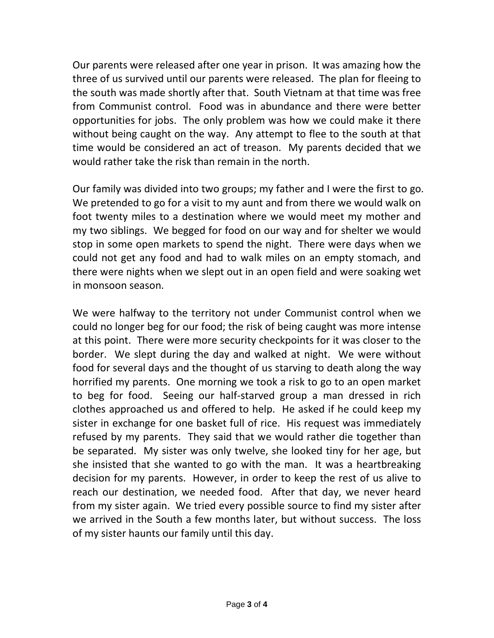Our parents were released after one year in prison. It was amazing how the three of us survived until our parents were released. The plan for fleeing to the south was made shortly after that. South Vietnam at that time was free from Communist control. Food was in abundance and there were better opportunities for jobs. The only problem was how we could make it there without being caught on the way. Any attempt to flee to the south at that time would be considered an act of treason. My parents decided that we would rather take the risk than remain in the north.

Our family was divided into two groups; my father and I were the first to go. We pretended to go for a visit to my aunt and from there we would walk on foot twenty miles to a destination where we would meet my mother and my two siblings. We begged for food on our way and for shelter we would stop in some open markets to spend the night. There were days when we could not get any food and had to walk miles on an empty stomach, and there were nights when we slept out in an open field and were soaking wet in monsoon season.

We were halfway to the territory not under Communist control when we could no longer beg for our food; the risk of being caught was more intense at this point. There were more security checkpoints for it was closer to the border. We slept during the day and walked at night. We were without food for several days and the thought of us starving to death along the way horrified my parents. One morning we took a risk to go to an open market to beg for food. Seeing our half-starved group a man dressed in rich clothes approached us and offered to help. He asked if he could keep my sister in exchange for one basket full of rice. His request was immediately refused by my parents. They said that we would rather die together than be separated. My sister was only twelve, she looked tiny for her age, but she insisted that she wanted to go with the man. It was a heartbreaking decision for my parents. However, in order to keep the rest of us alive to reach our destination, we needed food. After that day, we never heard from my sister again. We tried every possible source to find my sister after we arrived in the South a few months later, but without success. The loss of my sister haunts our family until this day.